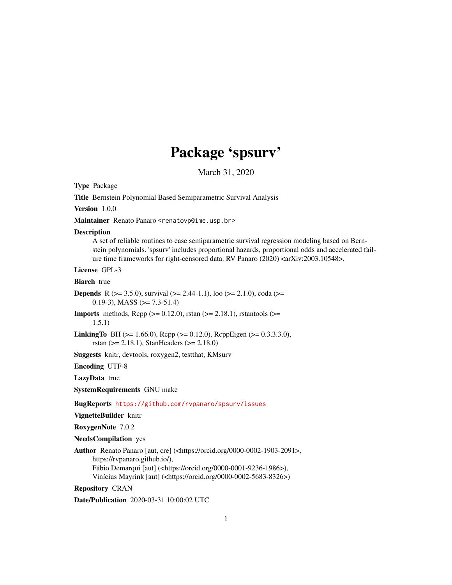# Package 'spsurv'

March 31, 2020

<span id="page-0-0"></span>Type Package

Title Bernstein Polynomial Based Semiparametric Survival Analysis

Version 1.0.0

Maintainer Renato Panaro <renatovp@ime.usp.br>

#### **Description**

A set of reliable routines to ease semiparametric survival regression modeling based on Bernstein polynomials. 'spsurv' includes proportional hazards, proportional odds and accelerated failure time frameworks for right-censored data. RV Panaro (2020) <arXiv:2003.10548>.

License GPL-3

**Biarch** true

```
Depends R (>= 3.5.0), survival (>= 2.44-1.1), loo (>= 2.1.0), coda (>=0.19-3), MASS (>= 7.3-51.4)
```
**Imports** methods,  $\text{Rcpp} (> = 0.12.0)$ , rstan ( $>= 2.18.1$ ), rstantools ( $>=$ 1.5.1)

```
LinkingTo BH (>= 1.66.0), Rcpp (>= 0.12.0), RcppEigen (>= 0.3.3.3.0),
     rstan (>= 2.18.1), StanHeaders (>= 2.18.0)
```
Suggests knitr, devtools, roxygen2, testthat, KMsurv

Encoding UTF-8

LazyData true

SystemRequirements GNU make

BugReports <https://github.com/rvpanaro/spsurv/issues>

VignetteBuilder knitr

RoxygenNote 7.0.2

```
NeedsCompilation yes
```
Author Renato Panaro [aut, cre] (<https://orcid.org/0000-0002-1903-2091>, https://rvpanaro.github.io/), Fábio Demarqui [aut] (<https://orcid.org/0000-0001-9236-1986>), Vinícius Mayrink [aut] (<https://orcid.org/0000-0002-5683-8326>)

Repository CRAN

Date/Publication 2020-03-31 10:00:02 UTC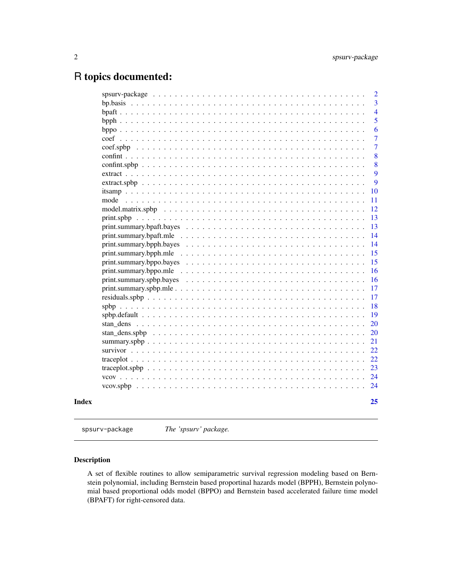# <span id="page-1-0"></span>R topics documented:

| mode |  | 3              |
|------|--|----------------|
|      |  |                |
|      |  | $\overline{4}$ |
|      |  | 5              |
|      |  | 6              |
|      |  | $\overline{7}$ |
|      |  | $\overline{7}$ |
|      |  | 8              |
|      |  | 8              |
|      |  | 9              |
|      |  | 9              |
|      |  | 10             |
|      |  | 11             |
|      |  | 12             |
|      |  | 13             |
|      |  | 13             |
|      |  | 14             |
|      |  | 14             |
|      |  | 15             |
|      |  | 15             |
|      |  | 16             |
|      |  | 16             |
|      |  | 17             |
|      |  | 17             |
|      |  | 18             |
|      |  | 19             |
|      |  | 20             |
|      |  | 20             |
|      |  | 21             |
|      |  | 22             |
|      |  | 22             |
|      |  | 23             |
|      |  | 24             |
|      |  | 24             |
|      |  | 25             |

spsurv-package *The 'spsurv' package.*

# Description

A set of flexible routines to allow semiparametric survival regression modeling based on Bernstein polynomial, including Bernstein based proportinal hazards model (BPPH), Bernstein polynomial based proportional odds model (BPPO) and Bernstein based accelerated failure time model (BPAFT) for right-censored data.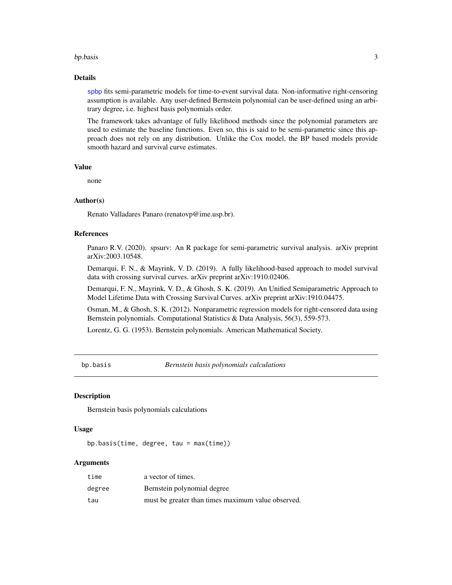#### <span id="page-2-0"></span>bp.basis 3

#### Details

[spbp](#page-17-1) fits semi-parametric models for time-to-event survival data. Non-informative right-censoring assumption is available. Any user-defined Bernstein polynomial can be user-defined using an arbitrary degree, i.e. highest basis polynomials order.

The framework takes advantage of fully likelihood methods since the polynomial parameters are used to estimate the baseline functions. Even so, this is said to be semi-parametric since this approach does not rely on any distribution. Unlike the Cox model, the BP based models provide smooth hazard and survival curve estimates.

#### Value

none

#### Author(s)

Renato Valladares Panaro (renatovp@ime.usp.br).

#### References

Panaro R.V. (2020). spsurv: An R package for semi-parametric survival analysis. arXiv preprint arXiv:2003.10548.

Demarqui, F. N., & Mayrink, V. D. (2019). A fully likelihood-based approach to model survival data with crossing survival curves. arXiv preprint arXiv:1910.02406.

Demarqui, F. N., Mayrink, V. D., & Ghosh, S. K. (2019). An Unified Semiparametric Approach to Model Lifetime Data with Crossing Survival Curves. arXiv preprint arXiv:1910.04475.

Osman, M., & Ghosh, S. K. (2012). Nonparametric regression models for right-censored data using Bernstein polynomials. Computational Statistics & Data Analysis, 56(3), 559-573.

Lorentz, G. G. (1953). Bernstein polynomials. American Mathematical Society.

bp.basis *Bernstein basis polynomials calculations*

#### **Description**

Bernstein basis polynomials calculations

#### Usage

bp.basis(time, degree, tau = max(time))

#### Arguments

| time   | a vector of times.                                 |
|--------|----------------------------------------------------|
| degree | Bernstein polynomial degree                        |
| tau    | must be greater than times maximum value observed. |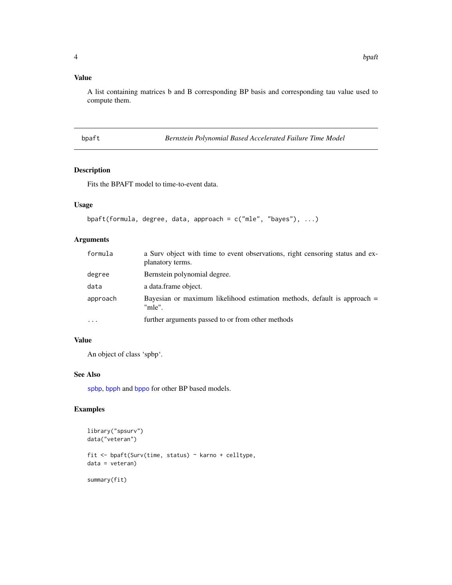# <span id="page-3-0"></span>Value

A list containing matrices b and B corresponding BP basis and corresponding tau value used to compute them.

<span id="page-3-1"></span>bpaft *Bernstein Polynomial Based Accelerated Failure Time Model*

# Description

Fits the BPAFT model to time-to-event data.

#### Usage

```
bpaft(formula, degree, data, approach = c("mle", "bayes"), ...)
```
# Arguments

| formula   | a Surv object with time to event observations, right censoring status and ex-<br>planatory terms. |
|-----------|---------------------------------------------------------------------------------------------------|
| degree    | Bernstein polynomial degree.                                                                      |
| data      | a data.frame object.                                                                              |
| approach  | Bayesian or maximum likelihood estimation methods, default is approach $=$<br>"mle".              |
| $\ddotsc$ | further arguments passed to or from other methods                                                 |

#### Value

An object of class 'spbp'.

#### See Also

[spbp](#page-17-1), [bpph](#page-4-1) and [bppo](#page-5-1) for other BP based models.

```
library("spsurv")
data("veteran")
fit <- bpaft(Surv(time, status) ~ karno + celltype,
data = veteran)
summary(fit)
```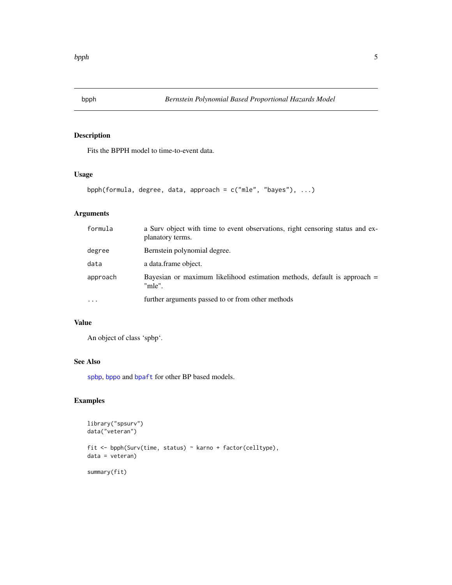<span id="page-4-1"></span><span id="page-4-0"></span>

Fits the BPPH model to time-to-event data.

# Usage

```
bpph(formula, degree, data, approach = c("mle", "bayes"), ...)
```
# Arguments

| formula  | a Surv object with time to event observations, right censoring status and ex-<br>planatory terms. |
|----------|---------------------------------------------------------------------------------------------------|
| degree   | Bernstein polynomial degree.                                                                      |
| data     | a data.frame object.                                                                              |
| approach | Bayesian or maximum likelihood estimation methods, default is approach $=$<br>"mle".              |
|          | further arguments passed to or from other methods                                                 |

#### Value

An object of class 'spbp'.

# See Also

[spbp](#page-17-1), [bppo](#page-5-1) and [bpaft](#page-3-1) for other BP based models.

```
library("spsurv")
data("veteran")
fit <- bpph(Surv(time, status) ~ karno + factor(celltype),
data = veteran)
summary(fit)
```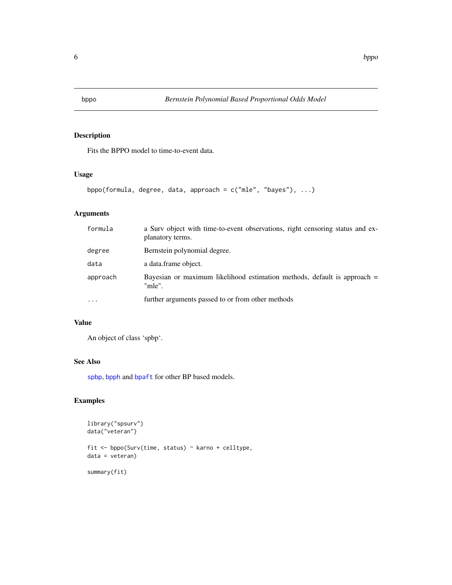<span id="page-5-1"></span><span id="page-5-0"></span>

Fits the BPPO model to time-to-event data.

# Usage

```
bppo(formula, degree, data, approach = c("mle", "bayes"), ...)
```
# Arguments

| formula   | a Surv object with time-to-event observations, right censoring status and ex-<br>planatory terms. |
|-----------|---------------------------------------------------------------------------------------------------|
| degree    | Bernstein polynomial degree.                                                                      |
| data      | a data.frame object.                                                                              |
| approach  | Bayesian or maximum likelihood estimation methods, default is approach $=$<br>"mle".              |
| $\ddotsc$ | further arguments passed to or from other methods                                                 |

#### Value

An object of class 'spbp'.

# See Also

[spbp](#page-17-1), [bpph](#page-4-1) and [bpaft](#page-3-1) for other BP based models.

```
library("spsurv")
data("veteran")
fit <- bppo(Surv(time, status) ~ karno + celltype,
data = veteran)
summary(fit)
```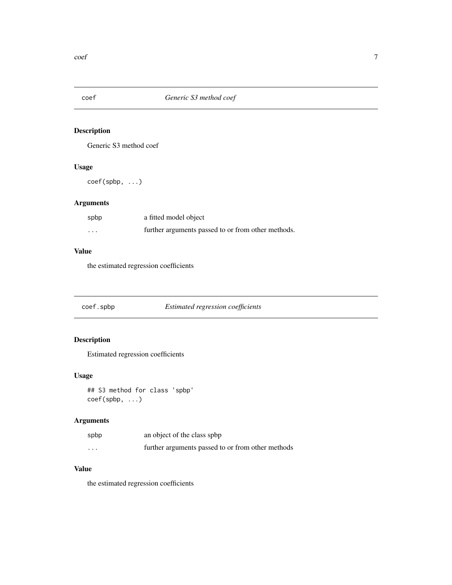<span id="page-6-0"></span>

Generic S3 method coef

# Usage

coef(spbp, ...)

# Arguments

| spbp     | a fitted model object                              |
|----------|----------------------------------------------------|
| $\cdots$ | further arguments passed to or from other methods. |

#### Value

the estimated regression coefficients

coef.spbp *Estimated regression coefficients*

#### Description

Estimated regression coefficients

# Usage

## S3 method for class 'spbp' coef(spbp, ...)

# Arguments

| spbp     | an object of the class spbp                       |
|----------|---------------------------------------------------|
| $\cdots$ | further arguments passed to or from other methods |

# Value

the estimated regression coefficients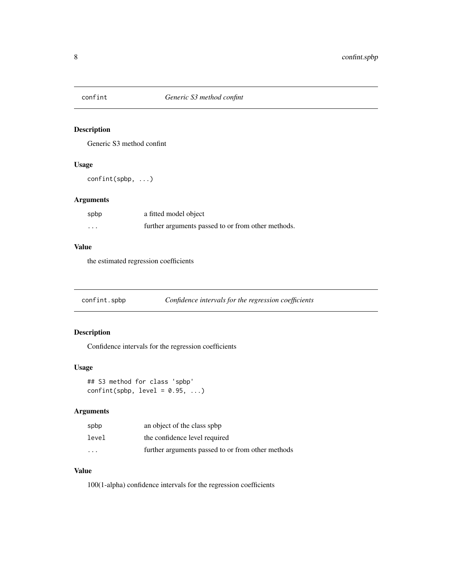<span id="page-7-0"></span>

Generic S3 method confint

#### Usage

confint(spbp, ...)

# Arguments

| spbp | a fitted model object                              |
|------|----------------------------------------------------|
| .    | further arguments passed to or from other methods. |

#### Value

the estimated regression coefficients

| confint.spbp |  | Confidence intervals for the regression coefficients |
|--------------|--|------------------------------------------------------|
|              |  |                                                      |

#### Description

Confidence intervals for the regression coefficients

#### Usage

```
## S3 method for class 'spbp'
confint(spbp, level = 0.95, ...)
```
#### Arguments

| spbp                    | an object of the class spbp                       |
|-------------------------|---------------------------------------------------|
| level                   | the confidence level required                     |
| $\cdot$ $\cdot$ $\cdot$ | further arguments passed to or from other methods |

#### Value

100(1-alpha) confidence intervals for the regression coefficients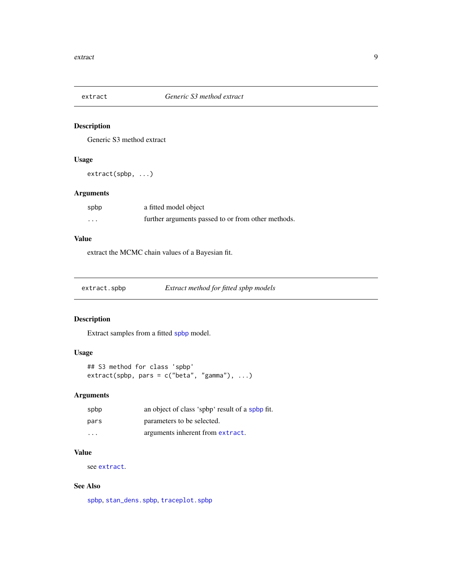<span id="page-8-1"></span><span id="page-8-0"></span>

Generic S3 method extract

#### Usage

extract(spbp, ...)

#### Arguments

| spbp                    | a fitted model object                              |
|-------------------------|----------------------------------------------------|
| $\cdot$ $\cdot$ $\cdot$ | further arguments passed to or from other methods. |

#### Value

extract the MCMC chain values of a Bayesian fit.

<span id="page-8-2"></span>

| extract.spbp | Extract method for fitted spbp models |  |
|--------------|---------------------------------------|--|
|              |                                       |  |

# Description

Extract samples from a fitted [spbp](#page-17-1) model.

#### Usage

```
## S3 method for class 'spbp'
extract(spbp, pars = c("beta", "gamma"), ...)
```
# Arguments

| spbp                    | an object of class 'spbp' result of a spbp fit. |
|-------------------------|-------------------------------------------------|
| pars                    | parameters to be selected.                      |
| $\cdot$ $\cdot$ $\cdot$ | arguments inherent from extract.                |

#### Value

see [extract](#page-8-1).

# See Also

[spbp](#page-17-1), [stan\\_dens.spbp](#page-19-1), [traceplot.spbp](#page-22-1)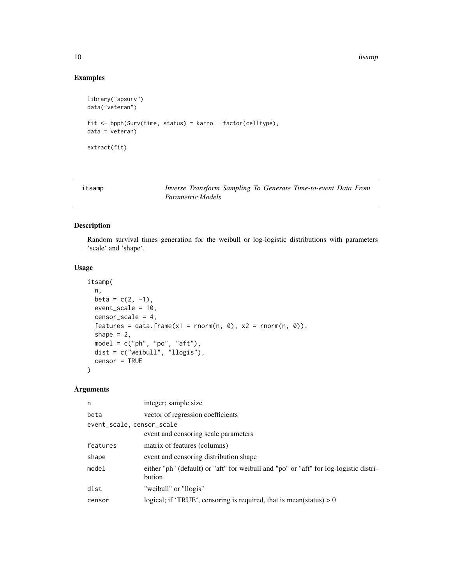# Examples

```
library("spsurv")
data("veteran")
fit <- bpph(Surv(time, status) ~ karno + factor(celltype),
data = veteran)
extract(fit)
```
<span id="page-9-1"></span>

| itsamp | Inverse Transform Sampling To Generate Time-to-event Data From |  |  |  |
|--------|----------------------------------------------------------------|--|--|--|
|        | Parametric Models                                              |  |  |  |

# Description

Random survival times generation for the weibull or log-logistic distributions with parameters 'scale' and 'shape'.

#### Usage

```
itsamp(
  n,
 beta = c(2, -1),event_scale = 10,
  censor_scale = 4,
  features = data.frame(x1 = rnorm(n, \emptyset), x2 = rnorm(n, \emptyset)),
  shape = 2,
 model = c("ph", "po", "aff"),dist = c("weibull", "llogis"),
  censor = TRUE
\mathcal{E}
```
#### Arguments

| n                         | integer; sample size                                                                            |
|---------------------------|-------------------------------------------------------------------------------------------------|
| beta                      | vector of regression coefficients                                                               |
| event_scale, censor_scale |                                                                                                 |
|                           | event and censoring scale parameters                                                            |
| features                  | matrix of features (columns)                                                                    |
| shape                     | event and censoring distribution shape                                                          |
| model                     | either "ph" (default) or "aft" for weibull and "po" or "aft" for log-logistic distri-<br>bution |
| dist                      | "weibull" or "llogis"                                                                           |
| censor                    | logical; if 'TRUE', censoring is required, that is mean(status) $> 0$                           |

<span id="page-9-0"></span>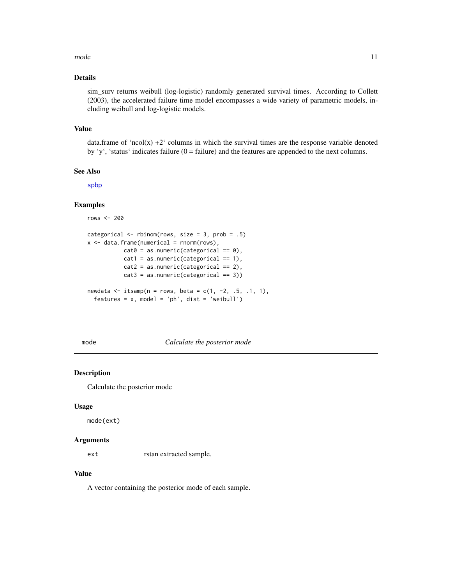#### <span id="page-10-0"></span>mode that the contract of the contract of the contract of the contract of the contract of the contract of the contract of the contract of the contract of the contract of the contract of the contract of the contract of the

#### Details

sim\_surv returns weibull (log-logistic) randomly generated survival times. According to Collett (2003), the accelerated failure time model encompasses a wide variety of parametric models, including weibull and log-logistic models.

#### Value

data.frame of 'ncol(x)  $+2$ ' columns in which the survival times are the response variable denoted by 'y', 'status' indicates failure  $(0 = \text{failure})$  and the features are appended to the next columns.

#### See Also

[spbp](#page-17-1)

#### Examples

rows <- 200

```
categorical \leq rbinom(rows, size = 3, prob = .5)
x \le - data.frame(numerical = rnorm(rows),
           cat0 = as.numeric(categorical == 0),cat1 = as.numeric(categorical == 1),cat2 = as.numeric(categorical == 2),
           cat3 = as.numeric(categorical == 3))newdata <- itsamp(n = rows, beta = c(1, -2, .5, .1, 1),
  features = x, model = 'ph', dist = 'weibull')
```
mode *Calculate the posterior mode*

#### Description

Calculate the posterior mode

#### Usage

mode(ext)

#### Arguments

ext rstan extracted sample.

#### Value

A vector containing the posterior mode of each sample.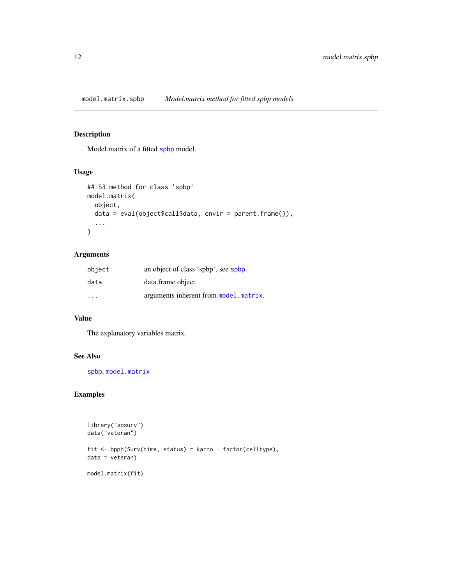<span id="page-11-0"></span>Model.matrix of a fitted [spbp](#page-17-1) model.

#### Usage

```
## S3 method for class 'spbp'
model.matrix(
  object,
  data = eval(object$call$data, envir = parent.frame()),
  ...
)
```
# Arguments

| object                  | an object of class 'spbp', see spbp.  |  |
|-------------------------|---------------------------------------|--|
| data                    | data.frame object.                    |  |
| $\cdot$ $\cdot$ $\cdot$ | arguments inherent from model matrix. |  |

# Value

The explanatory variables matrix.

#### See Also

[spbp](#page-17-1), [model.matrix](#page-0-0)

```
library("spsurv")
data("veteran")
fit <- bpph(Surv(time, status) ~ karno + factor(celltype),
data = veteran)
model.matrix(fit)
```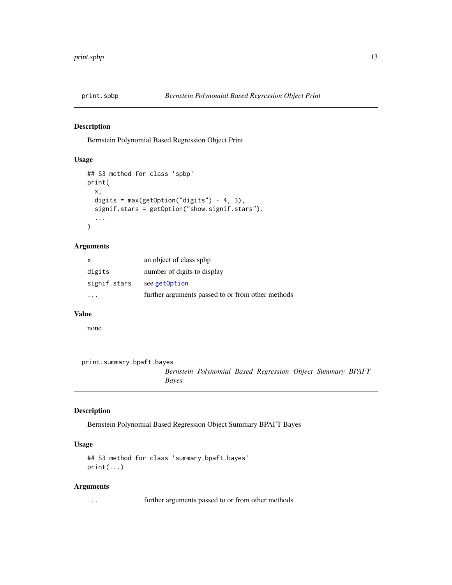<span id="page-12-0"></span>

Bernstein Polynomial Based Regression Object Print

#### Usage

```
## S3 method for class 'spbp'
print(
 x,
  digits = max(getOption("digits") - 4, 3),
  signif.stars = getOption("show.signif.stars"),
  ...
)
```
#### Arguments

| $\mathsf{x}$ | an object of class spbp                           |
|--------------|---------------------------------------------------|
| digits       | number of digits to display                       |
| signif.stars | see getOption                                     |
| .            | further arguments passed to or from other methods |

#### Value

none

```
print.summary.bpaft.bayes
                       Bernstein Polynomial Based Regression Object Summary BPAFT
                       Bayes
```
# Description

Bernstein Polynomial Based Regression Object Summary BPAFT Bayes

#### Usage

```
## S3 method for class 'summary.bpaft.bayes'
print(...)
```
#### Arguments

... further arguments passed to or from other methods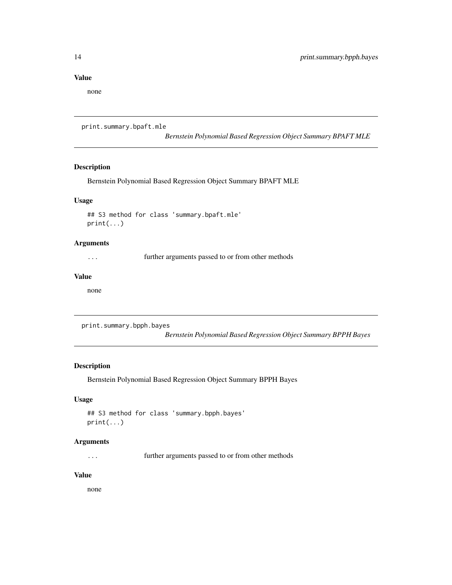# <span id="page-13-0"></span>Value

none

```
print.summary.bpaft.mle
```
*Bernstein Polynomial Based Regression Object Summary BPAFT MLE*

#### Description

Bernstein Polynomial Based Regression Object Summary BPAFT MLE

#### Usage

## S3 method for class 'summary.bpaft.mle' print(...)

#### Arguments

... further arguments passed to or from other methods

#### Value

none

print.summary.bpph.bayes

*Bernstein Polynomial Based Regression Object Summary BPPH Bayes*

# Description

Bernstein Polynomial Based Regression Object Summary BPPH Bayes

## Usage

```
## S3 method for class 'summary.bpph.bayes'
print(...)
```
#### Arguments

... further arguments passed to or from other methods

#### Value

none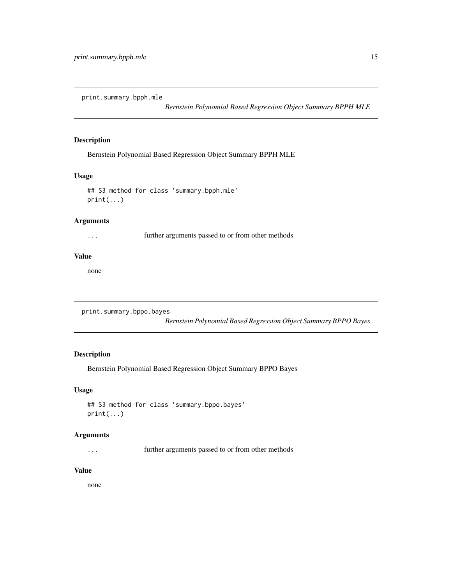<span id="page-14-0"></span>print.summary.bpph.mle

*Bernstein Polynomial Based Regression Object Summary BPPH MLE*

#### Description

Bernstein Polynomial Based Regression Object Summary BPPH MLE

#### Usage

## S3 method for class 'summary.bpph.mle' print(...)

#### Arguments

... further arguments passed to or from other methods

# Value

none

print.summary.bppo.bayes

*Bernstein Polynomial Based Regression Object Summary BPPO Bayes*

#### Description

Bernstein Polynomial Based Regression Object Summary BPPO Bayes

# Usage

```
## S3 method for class 'summary.bppo.bayes'
print(...)
```
# Arguments

... further arguments passed to or from other methods

#### Value

none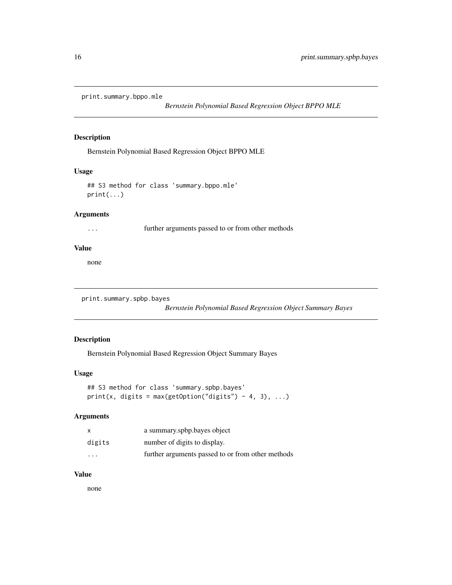<span id="page-15-0"></span>print.summary.bppo.mle

*Bernstein Polynomial Based Regression Object BPPO MLE*

#### Description

Bernstein Polynomial Based Regression Object BPPO MLE

#### Usage

## S3 method for class 'summary.bppo.mle' print(...)

#### Arguments

... further arguments passed to or from other methods

# Value

none

```
print.summary.spbp.bayes
```
*Bernstein Polynomial Based Regression Object Summary Bayes*

#### Description

Bernstein Polynomial Based Regression Object Summary Bayes

#### Usage

```
## S3 method for class 'summary.spbp.bayes'
print(x, digits = max(getOption("digits") - 4, 3), ...)
```
#### Arguments

| x                       | a summary.spbp.bayes object                       |
|-------------------------|---------------------------------------------------|
| digits                  | number of digits to display.                      |
| $\cdot$ $\cdot$ $\cdot$ | further arguments passed to or from other methods |

#### Value

none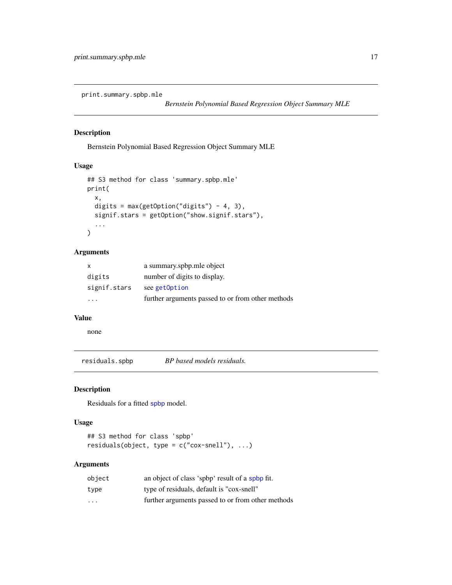<span id="page-16-0"></span>print.summary.spbp.mle

*Bernstein Polynomial Based Regression Object Summary MLE*

#### Description

Bernstein Polynomial Based Regression Object Summary MLE

#### Usage

```
## S3 method for class 'summary.spbp.mle'
print(
  x,
 digits = max(getOption("digits") - 4, 3),signif.stars = getOption("show.signif.stars"),
  ...
\mathcal{L}
```
#### Arguments

| $\mathsf{x}$ | a summary spbp.mle object                         |
|--------------|---------------------------------------------------|
| digits       | number of digits to display.                      |
| signif.stars | see getOption                                     |
|              | further arguments passed to or from other methods |

#### Value

none

residuals.spbp *BP based models residuals.*

#### Description

Residuals for a fitted [spbp](#page-17-1) model.

#### Usage

```
## S3 method for class 'spbp'
residuals(object, type = c("cox-snell"), ...)
```
#### Arguments

| object                  | an object of class 'spbp' result of a spbp fit.   |  |
|-------------------------|---------------------------------------------------|--|
| type                    | type of residuals, default is "cox-snell"         |  |
| $\cdot$ $\cdot$ $\cdot$ | further arguments passed to or from other methods |  |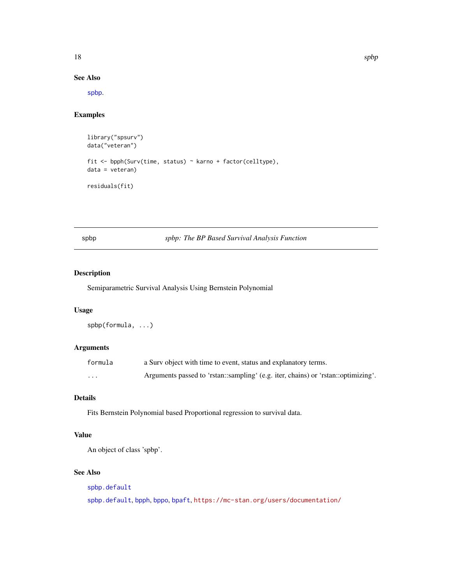#### See Also

[spbp](#page-17-1).

# Examples

```
library("spsurv")
data("veteran")
fit <- bpph(Surv(time, status) ~ karno + factor(celltype),
data = veteran)
residuals(fit)
```
#### <span id="page-17-1"></span>spbp *spbp: The BP Based Survival Analysis Function*

#### Description

Semiparametric Survival Analysis Using Bernstein Polynomial

#### Usage

spbp(formula, ...)

#### Arguments

| formula | a Surv object with time to event, status and explanatory terms.                   |
|---------|-----------------------------------------------------------------------------------|
| .       | Arguments passed to 'rstan::sampling' (e.g. iter, chains) or 'rstan::optimizing'. |

#### Details

Fits Bernstein Polynomial based Proportional regression to survival data.

#### Value

```
An object of class 'spbp'.
```
## See Also

[spbp.default](#page-18-1) [spbp.default](#page-18-1), [bpph](#page-4-1), [bppo](#page-5-1), [bpaft](#page-3-1), <https://mc-stan.org/users/documentation/>

<span id="page-17-0"></span>18 spbp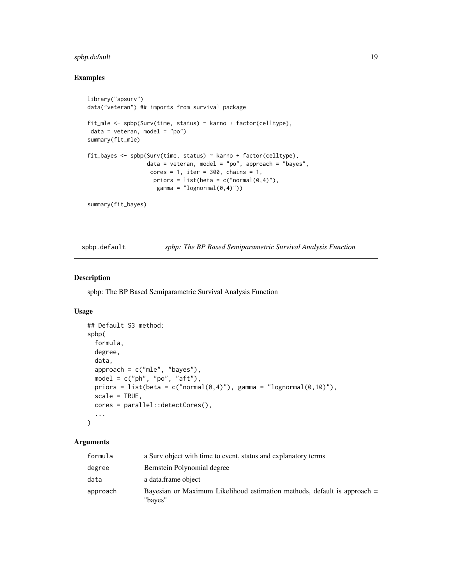# <span id="page-18-0"></span>spbp.default 19

# Examples

```
library("spsurv")
data("veteran") ## imports from survival package
fit_mle <- spbp(Surv(time, status) ~ karno + factor(celltype),
data = veteran, model = "po")summary(fit_mle)
fit_bayes <- spbp(Surv(time, status) ~ karno + factor(celltype),
                  data = veteran, model = "po", approach = "bayes",
                   cores = 1, iter = 300, chains = 1,
                    priors = list(beta = c("normal(0,4)"),
                     gamma = "lognormal(\emptyset, 4)")summary(fit_bayes)
```
<span id="page-18-1"></span>spbp.default *spbp: The BP Based Semiparametric Survival Analysis Function*

#### Description

spbp: The BP Based Semiparametric Survival Analysis Function

#### Usage

```
## Default S3 method:
spbp(
  formula,
  degree,
  data,
  approach = c("mle", "bayes"),
 model = c("ph", "po", "aff"),priors = list(beta = c("normal(0,4)"), gamma = "lognormal(0,10)"),
  scale = TRUE,
  cores = parallel::detectCores(),
  ...
)
```
#### Arguments

| formula  | a Surv object with time to event, status and explanatory terms                      |
|----------|-------------------------------------------------------------------------------------|
| degree   | Bernstein Polynomial degree                                                         |
| data     | a data.frame object                                                                 |
| approach | Bayesian or Maximum Likelihood estimation methods, default is approach =<br>"bayes" |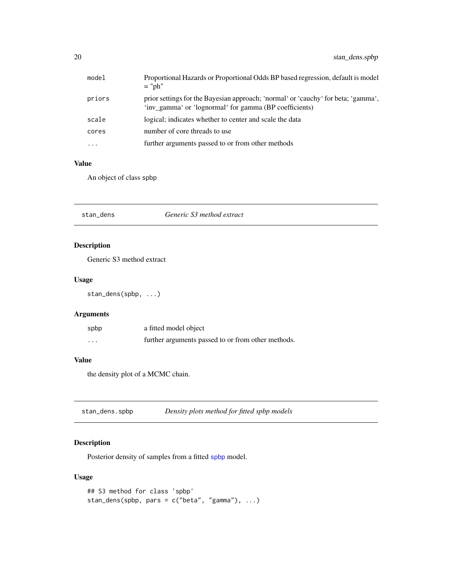<span id="page-19-0"></span>

| Proportional Hazards or Proportional Odds BP based regression, default is model<br>model<br>$=$ " $ph$ "                                              |  |
|-------------------------------------------------------------------------------------------------------------------------------------------------------|--|
| prior settings for the Bayesian approach; 'normal' or 'cauchy' for beta; 'gamma',<br>priors<br>'inv_gamma' or 'lognormal' for gamma (BP coefficients) |  |
| scale<br>logical; indicates whether to center and scale the data                                                                                      |  |
| number of core threads to use<br>cores                                                                                                                |  |
| further arguments passed to or from other methods<br>$\ddotsc$                                                                                        |  |

# Value

An object of class spbp

<span id="page-19-2"></span>

| stan dens | Generic S3 method extract |  |
|-----------|---------------------------|--|
|-----------|---------------------------|--|

# Description

Generic S3 method extract

#### Usage

stan\_dens(spbp, ...)

#### Arguments

| spbp     | a fitted model object                              |
|----------|----------------------------------------------------|
| $\cdots$ | further arguments passed to or from other methods. |

#### Value

the density plot of a MCMC chain.

<span id="page-19-1"></span>

| stan_dens.spbp | Density plots method for fitted spbp models |
|----------------|---------------------------------------------|
|----------------|---------------------------------------------|

# Description

Posterior density of samples from a fitted [spbp](#page-17-1) model.

#### Usage

```
## S3 method for class 'spbp'
stan_dens(spbp, pars = c("beta", "gamma"), ...)
```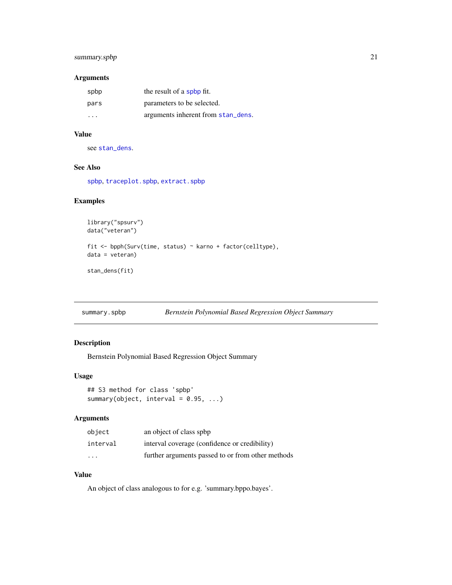#### <span id="page-20-0"></span>summary.spbp 21

#### Arguments

| spbp    | the result of a spbp fit.          |
|---------|------------------------------------|
| pars    | parameters to be selected.         |
| $\cdot$ | arguments inherent from stan_dens. |

#### Value

see [stan\\_dens](#page-19-2).

# See Also

[spbp](#page-17-1), [traceplot.spbp](#page-22-1), [extract.spbp](#page-8-2)

# Examples

```
library("spsurv")
data("veteran")
fit <- bpph(Surv(time, status) ~ karno + factor(celltype),
data = veteran)
stan_dens(fit)
```
summary.spbp *Bernstein Polynomial Based Regression Object Summary*

#### Description

Bernstein Polynomial Based Regression Object Summary

#### Usage

```
## S3 method for class 'spbp'
summary(object, interval = 0.95, ...)
```
#### Arguments

| object   | an object of class spbp                           |
|----------|---------------------------------------------------|
| interval | interval coverage (confidence or credibility)     |
| $\cdot$  | further arguments passed to or from other methods |

# Value

An object of class analogous to for e.g. 'summary.bppo.bayes'.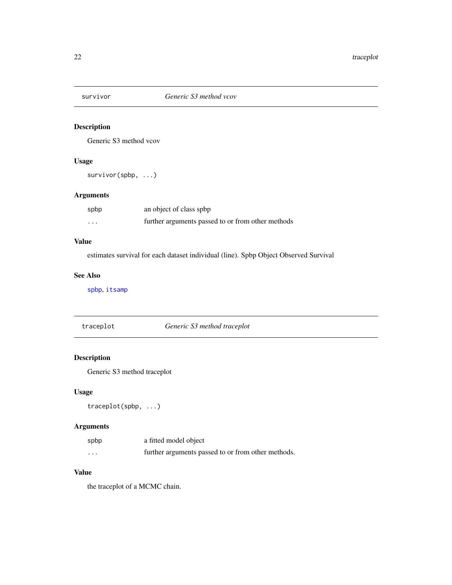<span id="page-21-0"></span>

Generic S3 method vcov

#### Usage

survivor(spbp, ...)

# Arguments

| spbp                    | an object of class spbp                           |
|-------------------------|---------------------------------------------------|
| $\cdot$ $\cdot$ $\cdot$ | further arguments passed to or from other methods |

# Value

estimates survival for each dataset individual (line). Spbp Object Observed Survival

#### See Also

[spbp](#page-17-1), [itsamp](#page-9-1)

<span id="page-21-1"></span>traceplot *Generic S3 method traceplot*

# Description

Generic S3 method traceplot

#### Usage

traceplot(spbp, ...)

# Arguments

| spbp              | a fitted model object                              |
|-------------------|----------------------------------------------------|
| $\cdot\cdot\cdot$ | further arguments passed to or from other methods. |

# Value

the traceplot of a MCMC chain.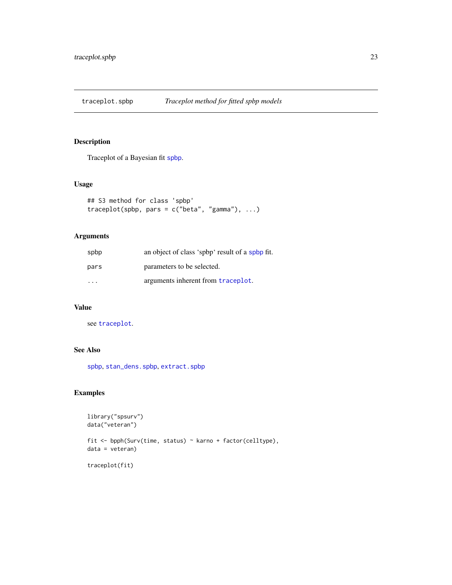<span id="page-22-1"></span><span id="page-22-0"></span>traceplot.spbp *Traceplot method for fitted spbp models*

#### Description

Traceplot of a Bayesian fit [spbp](#page-17-1).

#### Usage

```
## S3 method for class 'spbp'
traceplot(spbp, pars = c("beta", "gamma"), ...)
```
#### Arguments

| spbp | an object of class 'spbp' result of a spbp fit. |
|------|-------------------------------------------------|
| pars | parameters to be selected.                      |
| .    | arguments inherent from traceplot.              |

#### Value

see [traceplot](#page-21-1).

# See Also

[spbp](#page-17-1), [stan\\_dens.spbp](#page-19-1), [extract.spbp](#page-8-2)

```
library("spsurv")
data("veteran")
fit <- bpph(Surv(time, status) ~ karno + factor(celltype),
data = veteran)
traceplot(fit)
```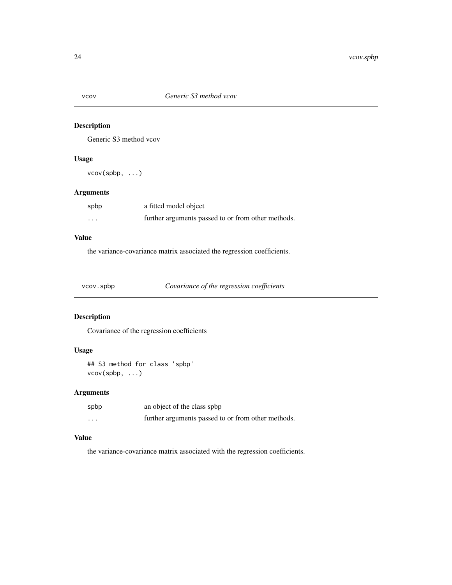<span id="page-23-0"></span>

Generic S3 method vcov

# Usage

vcov(spbp, ...)

# Arguments

| spbp    | a fitted model object                              |
|---------|----------------------------------------------------|
| $\cdot$ | further arguments passed to or from other methods. |

# Value

the variance-covariance matrix associated the regression coefficients.

| vcov.spbp | Covariance of the regression coefficients |
|-----------|-------------------------------------------|
|-----------|-------------------------------------------|

# Description

Covariance of the regression coefficients

# Usage

```
## S3 method for class 'spbp'
vcov(spbp, ...)
```
#### Arguments

| spbp    | an object of the class spbp                        |
|---------|----------------------------------------------------|
| $\cdot$ | further arguments passed to or from other methods. |

# Value

the variance-covariance matrix associated with the regression coefficients.